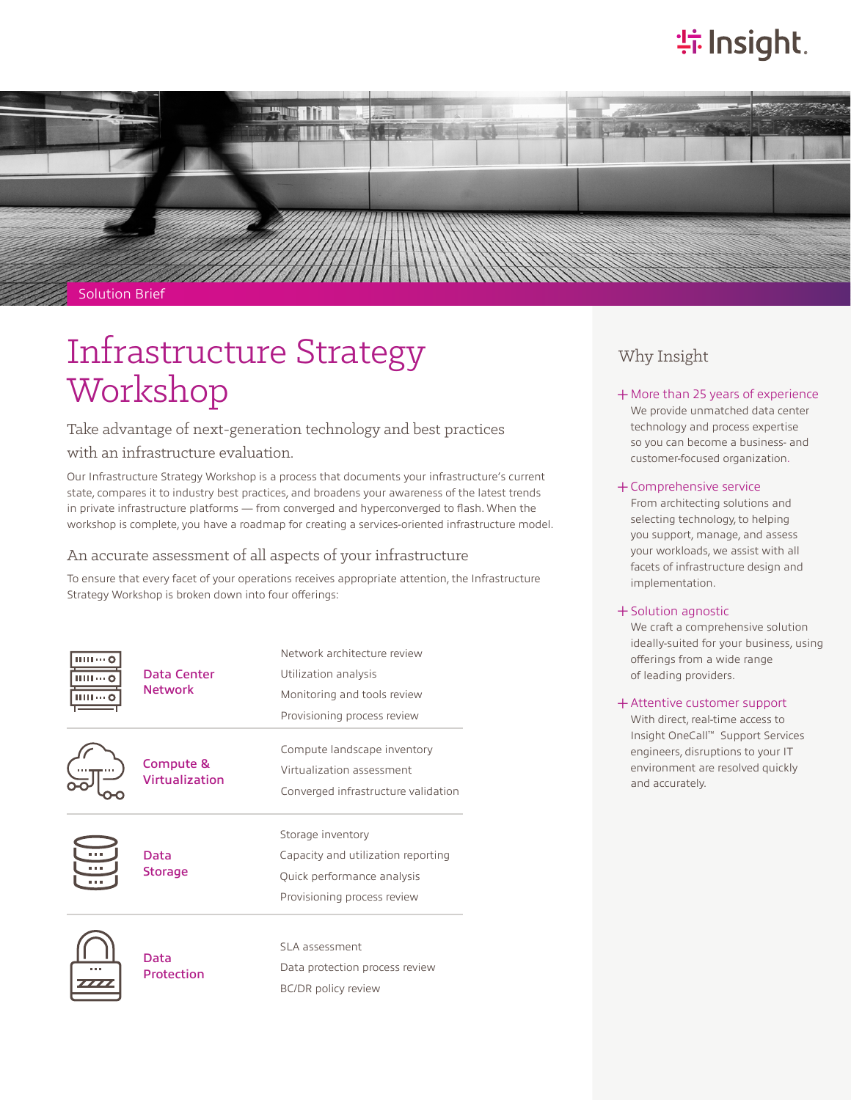# **特Insight**.



#### Solution Brief

# Infrastructure Strategy Workshop

Take advantage of next-generation technology and best practices

### with an infrastructure evaluation.

Our Infrastructure Strategy Workshop is a process that documents your infrastructure's current state, compares it to industry best practices, and broadens your awareness of the latest trends in private infrastructure platforms — from converged and hyperconverged to flash. When the workshop is complete, you have a roadmap for creating a services-oriented infrastructure model.

#### An accurate assessment of all aspects of your infrastructure

To ensure that every facet of your operations receives appropriate attention, the Infrastructure Strategy Workshop is broken down into four offerings:

| ши — с<br>шите с                    | Data Center<br><b>Network</b> | Network architecture review<br>Utilization analysis<br>Monitoring and tools review    |                    |                                                  |                             |                             |
|-------------------------------------|-------------------------------|---------------------------------------------------------------------------------------|--------------------|--------------------------------------------------|-----------------------------|-----------------------------|
|                                     |                               |                                                                                       |                    |                                                  |                             | Provisioning process review |
|                                     |                               |                                                                                       |                    |                                                  |                             |                             |
|                                     |                               | Virtualization assessment                                                             |                    |                                                  |                             |                             |
| Converged infrastructure validation |                               |                                                                                       |                    |                                                  |                             |                             |
|                                     | Data<br><b>Storage</b>        | Storage inventory<br>Capacity and utilization reporting<br>Quick performance analysis |                    |                                                  |                             |                             |
|                                     |                               |                                                                                       |                    |                                                  | Provisioning process review |                             |
|                                     |                               |                                                                                       |                    |                                                  |                             |                             |
|                                     |                               |                                                                                       | Data<br>Protection | SLA assessment<br>Data protection process review |                             |                             |
| <b>BC/DR</b> policy review          |                               |                                                                                       |                    |                                                  |                             |                             |
|                                     |                               |                                                                                       |                    |                                                  |                             |                             |

### Why Insight

#### + More than 25 years of experience

We provide unmatched data center technology and process expertise so you can become a business- and customer-focused organization.

#### ͓Comprehensive service

From architecting solutions and selecting technology, to helping you support, manage, and assess your workloads, we assist with all facets of infrastructure design and implementation.

#### ͓Solution agnostic

We craft a comprehensive solution ideally-suited for your business, using offerings from a wide range of leading providers.

#### ͓Attentive customer support

With direct, real-time access to Insight OneCall™ Support Services engineers, disruptions to your IT environment are resolved quickly and accurately.